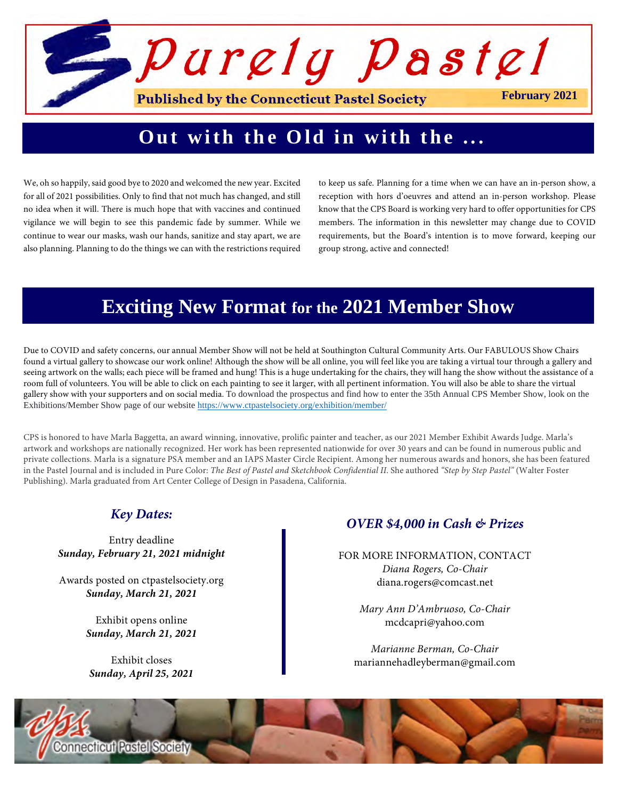# *Purely Pastel* **Published by the Connecticut Pastel Society February 2021**

# **Out with the Old in with the ...**

We, oh so happily, said good bye to 2020 and welcomed the new year. Excited for all of 2021 possibilities. Only to find that not much has changed, and still no idea when it will. There is much hope that with vaccines and continued vigilance we will begin to see this pandemic fade by summer. While we continue to wear our masks, wash our hands, sanitize and stay apart, we are also planning. Planning to do the things we can with the restrictions required to keep us safe. Planning for a time when we can have an in-person show, a reception with hors d'oeuvres and attend an in-person workshop. Please know that the CPS Board is working very hard to offer opportunities for CPS members. The information in this newsletter may change due to COVID requirements, but the Board's intention is to move forward, keeping our group strong, active and connected!

# **Exciting New Format for the 2021 Member Show**

Due to COVID and safety concerns, our annual Member Show will not be held at Southington Cultural Community Arts. Our FABULOUS Show Chairs found a virtual gallery to showcase our work online! Although the show will be all online, you will feel like you are taking a virtual tour through a gallery and seeing artwork on the walls; each piece will be framed and hung! This is a huge undertaking for the chairs, they will hang the show without the assistance of a room full of volunteers. You will be able to click on each painting to see it larger, with all pertinent information. You will also be able to share the virtual gallery show with your supporters and on social media. To download the prospectus and find how to enter the 35th Annual CPS Member Show, look on the Exhibitions/Member Show page of our website https://www.ctpastelsociety.org/exhibition/member/

CPS is honored to have Marla Baggetta, an award winning, innovative, prolific painter and teacher, as our 2021 Member Exhibit Awards Judge. Marla's artwork and workshops are nationally recognized. Her work has been represented nationwide for over 30 years and can be found in numerous public and private collections. Marla is a signature PSA member and an IAPS Master Circle Recipient. Among her numerous awards and honors, she has been featured in the Pastel Journal and is included in Pure Color: *The Best of Pastel and Sketchbook Confidential II*. She authored *"Step by Step Pastel"* (Walter Foster Publishing). Marla graduated from Art Center College of Design in Pasadena, California.

### *Key Dates:*

Entry deadline *Sunday, February 21, 2021 midnight*

Awards posted on ctpastelsociety.org *Sunday, March 21, 2021*

> Exhibit opens online *Sunday, March 21, 2021*

Exhibit closes *Sunday, April 25, 2021*

### *OVER \$4,000 in Cash & Prizes*

FOR MORE INFORMATION, CONTACT *Diana Rogers, Co-Chair* diana.rogers@comcast.net

> *Mary Ann D'Ambruoso, Co-Chair* mcdcapri@yahoo.com

*Marianne Berman, Co-Chair* mariannehadleyberman@gmail.com

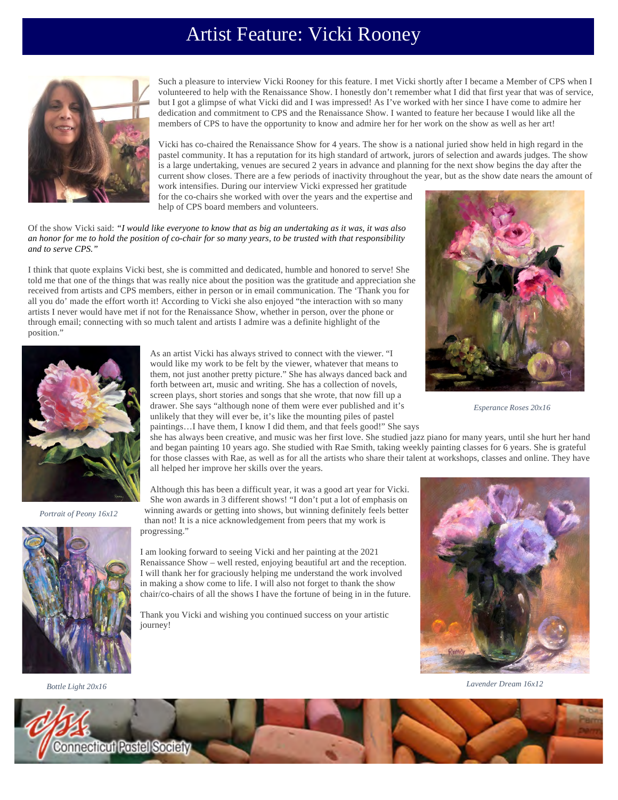# Artist Feature: Vicki Rooney



Such a pleasure to interview Vicki Rooney for this feature. I met Vicki shortly after I became a Member of CPS when I volunteered to help with the Renaissance Show. I honestly don't remember what I did that first year that was of service, but I got a glimpse of what Vicki did and I was impressed! As I've worked with her since I have come to admire her dedication and commitment to CPS and the Renaissance Show. I wanted to feature her because I would like all the members of CPS to have the opportunity to know and admire her for her work on the show as well as her art!

Vicki has co-chaired the Renaissance Show for 4 years. The show is a national juried show held in high regard in the pastel community. It has a reputation for its high standard of artwork, jurors of selection and awards judges. The show is a large undertaking, venues are secured 2 years in advance and planning for the next show begins the day after the current show closes. There are a few periods of inactivity throughout the year, but as the show date nears the amount of

work intensifies. During our interview Vicki expressed her gratitude for the co-chairs she worked with over the years and the expertise and help of CPS board members and volunteers.

Of the show Vicki said: *"I would like everyone to know that as big an undertaking as it was, it was also an honor for me to hold the position of co-chair for so many years, to be trusted with that responsibility and to serve CPS."*

I think that quote explains Vicki best, she is committed and dedicated, humble and honored to serve! She told me that one of the things that was really nice about the position was the gratitude and appreciation she received from artists and CPS members, either in person or in email communication. The 'Thank you for all you do' made the effort worth it! According to Vicki she also enjoyed "the interaction with so many artists I never would have met if not for the Renaissance Show, whether in person, over the phone or through email; connecting with so much talent and artists I admire was a definite highlight of the position."



*Portrait of Peony 16x12*

As an artist Vicki has always strived to connect with the viewer. "I would like my work to be felt by the viewer, whatever that means to them, not just another pretty picture." She has always danced back and forth between art, music and writing. She has a collection of novels, screen plays, short stories and songs that she wrote, that now fill up a drawer. She says "although none of them were ever published and it's unlikely that they will ever be, it's like the mounting piles of pastel paintings…I have them, I know I did them, and that feels good!" She says



*Esperance Roses 20x16*

she has always been creative, and music was her first love. She studied jazz piano for many years, until she hurt her hand and began painting 10 years ago. She studied with Rae Smith, taking weekly painting classes for 6 years. She is grateful for those classes with Rae, as well as for all the artists who share their talent at workshops, classes and online. They have all helped her improve her skills over the years.

Although this has been a difficult year, it was a good art year for Vicki. She won awards in 3 different shows! "I don't put a lot of emphasis on winning awards or getting into shows, but winning definitely feels better than not! It is a nice acknowledgement from peers that my work is progressing."

I am looking forward to seeing Vicki and her painting at the 2021 Renaissance Show – well rested, enjoying beautiful art and the reception. I will thank her for graciously helping me understand the work involved in making a show come to life. I will also not forget to thank the show chair/co-chairs of all the shows I have the fortune of being in in the future.

Thank you Vicki and wishing you continued success on your artistic journey!



*Lavender Dream 16x12 Bottle Light 20x16*



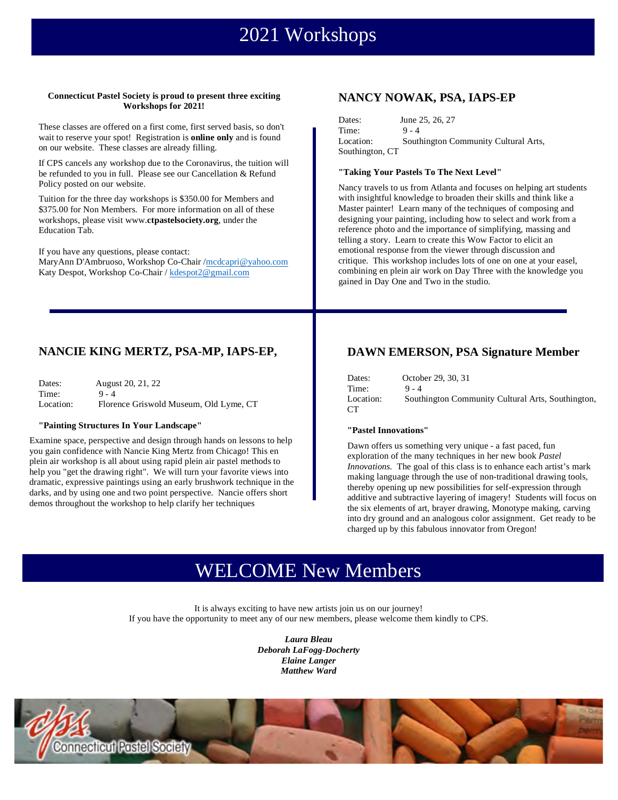# 2021 Workshops

#### **Connecticut Pastel Society is proud to present three exciting Workshops for 2021!**

These classes are offered on a first come, first served basis, so don't wait to reserve your spot! Registration is **online only** and is found on our website. These classes are already filling.

If CPS cancels any workshop due to the Coronavirus, the tuition will be refunded to you in full. Please see our Cancellation & Refund Policy posted on our website.

Tuition for the three day workshops is \$350.00 for Members and \$375.00 for Non Members. For more information on all of these workshops, please visit www.**ctpastelsociety.org**, under the Education Tab.

If you have any questions, please contact: MaryAnn D'Ambruoso, Workshop Co-Chair /mcdcapri@yahoo.com Katy Despot, Workshop Co-Chair / kdespot2@gmail.com

### **NANCY NOWAK, PSA, IAPS-EP**

| Dates:          | June 25, 26, 27                      |
|-----------------|--------------------------------------|
| Time:           | $9 - 4$                              |
| Location:       | Southington Community Cultural Arts, |
| Southington, CT |                                      |

#### **"Taking Your Pastels To The Next Level"**

Nancy travels to us from Atlanta and focuses on helping art students with insightful knowledge to broaden their skills and think like a Master painter! Learn many of the techniques of composing and designing your painting, including how to select and work from a reference photo and the importance of simplifying, massing and telling a story. Learn to create this Wow Factor to elicit an emotional response from the viewer through discussion and critique. This workshop includes lots of one on one at your easel, combining en plein air work on Day Three with the knowledge you gained in Day One and Two in the studio.

### **NANCIE KING MERTZ, PSA-MP, IAPS-EP,**

| Dates:    | August 20, 21, 22                      |
|-----------|----------------------------------------|
| Time:     | $9 - 4$                                |
| Location: | Florence Griswold Museum, Old Lyme, CT |

#### **"Painting Structures In Your Landscape"**

Examine space, perspective and design through hands on lessons to help you gain confidence with Nancie King Mertz from Chicago! This en plein air workshop is all about using rapid plein air pastel methods to help you "get the drawing right". We will turn your favorite views into dramatic, expressive paintings using an early brushwork technique in the darks, and by using one and two point perspective. Nancie offers short demos throughout the workshop to help clarify her techniques

### **DAWN EMERSON, PSA Signature Member**

| Dates:          | October 29, 30, 31                                |
|-----------------|---------------------------------------------------|
| Time:           | $9 - 4$                                           |
| Location:<br>CТ | Southington Community Cultural Arts, Southington, |

#### **"Pastel Innovations"**

Dawn offers us something very unique - a fast paced, fun exploration of the many techniques in her new book *Pastel Innovations.* The goal of this class is to enhance each artist's mark making language through the use of non-traditional drawing tools, thereby opening up new possibilities for self-expression through additive and subtractive layering of imagery! Students will focus on the six elements of art, brayer drawing, Monotype making, carving into dry ground and an analogous color assignment. Get ready to be charged up by this fabulous innovator from Oregon!

## WELCOME New Members

It is always exciting to have new artists join us on our journey! If you have the opportunity to meet any of our new members, please welcome them kindly to CPS.

> *Laura Bleau Deborah LaFogg-Docherty Elaine Langer Matthew Ward*